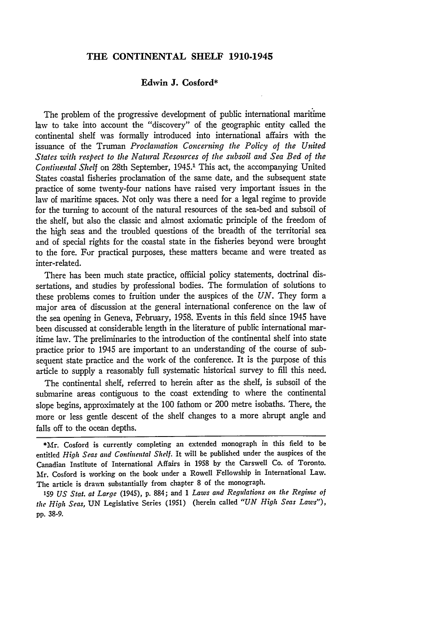## **THE CONTINENTAL SHELF 1910-1945**

#### **Edwin J. Cosford\***

The problem of the progressive development of public international maritime law to take into account the "discovery" of the geographic entity called the continental shelf was formally introduced into international affairs with the issuance of the Truman *Proclamation Concerning the Policy of the United States with respect to the Natural Resources of the subsoil and Sea Bed of the Continental Shelf* on 28th September, 1945.1 This act, the accompanying United States coastal fisheries proclamation of the same date, and the subsequent state practice of some twenty-four nations have raised very important issues in the law of maritime spaces. Not only was there a need for a legal regime to provide for the turning to account of the natural resources of the sea-bed and subsoil of the shelf, but also the classic and almost axiomatic principle of the freedom of the high seas and the troubled questions of the breadth of the territorial sea and of special rights for the coastal state in the fisheries beyond were brought to the fore. For practical purposes, these matters became and were treated as inter-related.

There has been much state practice, offiicial policy statements, doctrinal dissertations, and studies **by** professional bodies. The formulation of solutions to these problems comes to fruition under the auspices of the *UN.* They form a major area of discussion at the general international conference on the law of the sea opening in Geneva, February, 1958. Events in this field since 1945 have been discussed at considerable length in the literature of public international maritime law. The preliminaries to the introduction of the continental shelf into state practice prior to 1945 are important to an understanding of the course of subsequent state practice and the work of the conference. It is the purpose of this article to supply a reasonably full systematic historical survey to **fill** this need.

The continental shelf, referred to herein after as the shelf, is subsoil of the submarine areas contiguous to the coast extending to where the continental slope begins, approximately at the 100 fathom or 200 metre isobaths. There, the more or less gentle descent of the shelf changes to a more abrupt angle and falls off to the ocean depths.

<sup>\*</sup>Mr. Cosford is currently completing an extended monograph in this field to be entitled *High Seas and Continental Shelf.* It will be published under the auspices of the Canadian Institute of International Affairs in **1958 by** the Carswell Co. of Toronto. Mr. Cosford is working on the book under a Rowell Fellowship in International Law. The article is drawn substantially from chapter **8** of the monograph.

**<sup>159</sup>***US Stat. at Large* (1945), **p. 884;** and 1 *Laws and Regulations on the Regime of the High Seas,* UN Legislative Series (1951) (herein called *"UN High Seas Laws"),* **pp.** 38-9.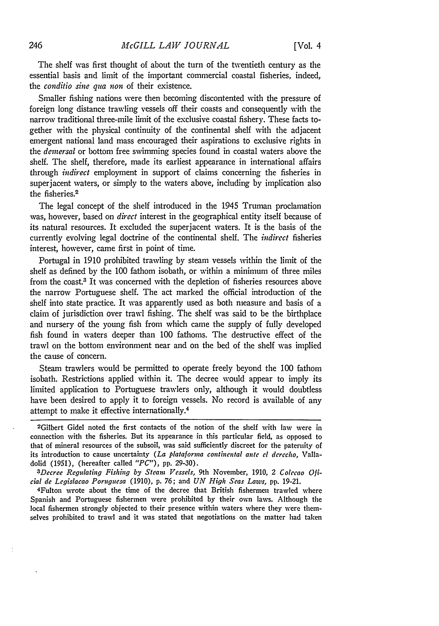The shelf was first thought of about the turn of the twentieth century as the essential basis and limit of the important commercial coastal fisheries, indeed, the *conditio sine qua non* of their existence.

Smaller fishing nations were then becoming discontented with the pressure of foreign long distance trawling vessels off their coasts and consequently with the narrow traditional three-mile limit of the exclusive coastal fishery. These facts together with the physical continuity of the continental shelf with the adjacent emergent national land mass encouraged their aspirations to exclusive rights in the *deinersal* or bottom free swimming species found in coastal waters above the shelf. The shelf, therefore, made its earliest appearance in international affairs through *indirect* employment in support of claims concerning the fisheries in superjacent waters, or simply to the waters above, including by implication also the fisheries.<sup>2</sup>

The legal concept of the shelf introduced in the 1945 Truman proclamation was, however, based on *direct* interest in the geographical entity itself because of its natural resources. It excluded the superjacent waters. It is the basis of the currently evolving legal doctrine of the continental shelf. The *indirect* fisheries interest, however, came first in point of time.

Portugal in 1910 prohibited trawling by steam vessels within the limit of the shelf as defined by the 100 fathom isobath, or within a minimum of three miles from the coast.3 It was concerned with the depletion of fisheries resources above the narrow Portuguese shelf. The act marked the official introduction of the shelf into state practice. It was apparently used as both measure and basis of a claim of jurisdiction over trawl fishing. The shelf was said to be the birthplace and nursery of the young fish from which came the supply of fully developed fish found in waters deeper than 100 fathoms. The destructive effect of the trawl on the bottom environment near and on the bed of the shelf was implied the cause of concern.

Steam trawlers would be permitted to operate freely beyond the 100 fathom isobath. Restrictions applied within it. The decree would appear to imply its limited application to Portuguese trawlers only, although it would doubtless have been desired to apply it to foreign vessels. No record is available of any attempt to make it effective internationally. <sup>4</sup>

2 Gilbert Gidel noted the first contacts of the notion of the shelf with law were in connection with the fisheries. But its appearance in this particular field, as opposed to that of mineral resources of the subsoil, was said sufficiently discreet for the paternity of its introduction to cause uncertainty *(La plataforma continental ante el derecho,* Valladolid (1951), (hereafter called *"PC"),* **pp.** 29-30). *<sup>3</sup>*

*Decree Regulating Fishing by Steam Vessels,* 9th November, 1910, *2 Colecao Oficial de Legislacao Poruguesa* (1910), **p.** 76; and *UN High Seas Laws,* **pp.** 19-21.

4Fulton wrote about the time of the decree that British fishermen trawled where Spanish and Portuguese fishermen were prohibited by their own laws. Although the local fishermen strongly objected to their presence within waters where they were themselves prohibited to trawl and it was stated that negotiations on the matter had taken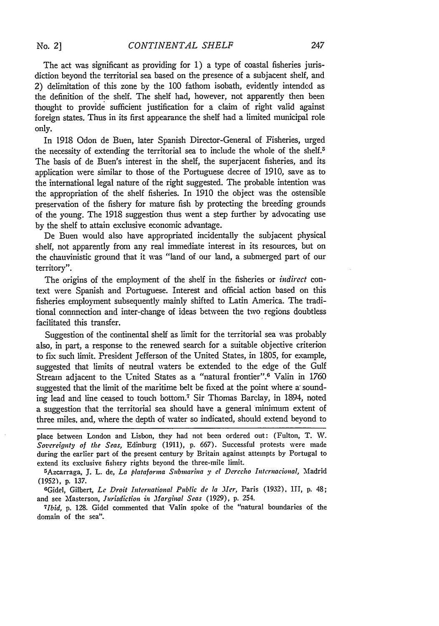The act was significant as providing for 1) a type of coastal fisheries jurisdiction beyond the territorial sea based on the presence of a subjacent shelf, and 2) delimitation of this zone by the **100** fathom isobath, evidently intendcd as the definition of the shelf. The shelf had, however, not apparently then been thought to provide sufficient justification for a claim of right valid against foreign states. Thus in its first appearance the shelf had a limited municipal role only.

In **1918** Odon de Buen, later Spanish Director-General of Fisheries, urged the necessity of extending the territorial sea to include the whole of the shelf.<sup>5</sup> The basis of de Buen's interest in the shelf, the superjacent fisheries, and its application were similar to those of the Portuguese decree of **1910,** save as to the international legal nature of the right suggested. The probable intention was the appropriation of the shelf fisheries. In **1910** the object was the ostensible preservation of the fishery for mature fish by protecting the breeding grounds of the young. The 1918 suggestion thus went a step further by advocating use by the shelf to attain exclusive economic advantage.

De Buen would also have appropriated incidentally the subjacent physical shelf, not apparently from any real immediate interest in its resources, but on the chauvinistic ground that it was "land of our land, a submerged part of our territory".

The origins of the employment of the shelf in the fisheries or *indirect* context were Spanish and Portuguese. Interest and official action based on this fisheries employment subsequently mainly shifted to Latin America. The traditional connnection and inter-change of ideas between the two regions doubtless facilitated this transfer.

Suggestion of the continental shelf as limit for the territorial sea was probably also, in part, a response to the renewed search for a suitable objective criterion to fix such limit. President Jefferson of the United States, in 1805, for example, suggested that limits of neutral waters be extended to the edge of the Gulf Stream adjacent to the United States as a "natural frontier".<sup>6</sup> Valin in 1760 suggested that the limit of the maritime belt be fixed at the point where a sounding lead and line ceased to touch bottom.7 Sir Thomas Barclay, in 1894, noted a suggestion that the territorial sea should have a general minimum extent of three miles, and, where the depth of water so indicated, should extend beyond to

place between London and Lisbon, they had not been ordered out: (Fulton, T. W. *Sovereignty of the Seas,* Edinburg **(1911),** p. 667). Successful protests were made during the earlier part of the present century by Britain against attempts by Portugal to extend its exclusive fishery rights beyond the three-mile limit.

Azcarraga, J. L. de, *La plataforma Submarina y* el *Derecho Intcrnacional,* Madrid (1952), p. 137.

GGidel, Gilbert, *Le Droit International Public de* la *Mer,* Paris (1932), l11, p. 48; and see Masterson, *Jurisdiction in Marginal Seas* (1929), p. 254.

*Ibid,* p. 128. Gidel commented that Valin spoke of the "natural boundaries of the domain of the sea".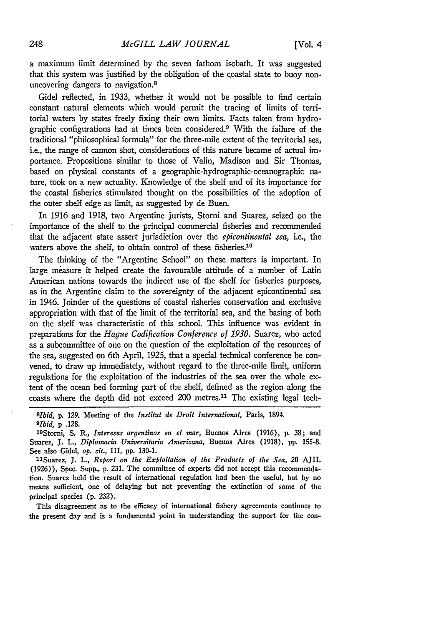a maximum limit determined by the seven fathom isobath. It was suggested that this system was justified by the obligation of the coastal state to buoy nonuncovering dangers to navigation.<sup>8</sup>

Gidel reflected, in 1933, whether it would not be possible to find certain constant natural elements which would permit the tracing of limits of territorial waters by states freely fixing their own limits. Facts taken from hydrographic configurations had at times been considered.9 With the failure of the traditional "philosophical formula" for the three-mile extent of the territorial sea, i.e., the range of cannon shot, considerations of this nature became of actual importance. Propositions similar to those of Valin, Madison and Sir Thomas, based on physical constants of a geographic-hydrographic-oceanographic nature, took on a new actuality. Knowledge of the shelf and of its importance for the coastal fisheries stimulated thought on the possibilities of the adoption of the outer shelf edge as limit, as suggested by de Buen.

In 1916 and 1918, two Argentine jurists, Storni and Suarez, seized on the importance of the shelf to the principal commercial fisheries and recommended that the adjacent state assert jurisdiction over the *epicontinental* sea, i.e., the waters above the shelf, to obtain control of these fisheries.<sup>10</sup>

The thinking of the "Argentine School" on these matters is important. In large measure it helped create the favourable attitude of a number of Latin American nations towards the indirect use of the shelf for fisheries purposes, as in the Argentine claim to the sovereignty of the adjacent epicontinental sea in 1946. Joinder of the questions of coastal fisheries conservation and exclusive appropriation with that of the limit of the territorial sea, and the basing of both on the shelf was characteristic of this school. This influence was evident in preparations for the *Hague Codification Conference of 1930.* Suarez, who acted as a subcommittee of one on the question of the exploitation of the resources of the sea, suggested on 6th April, 1925, that a special technical conference be convened, to draw up immediately, without regard to the three-mile limit, uniform regulations for the exploitation of the industries of the sea over the whole extent of the ocean bed forming part of the shelf, defined as the region along the coasts where the depth did not exceed 200 metres.11 The existing legal tech-

*8lbid,* **p.** 129. Meeting of the *Institut de Droit International,* Paris, 1894. *9 Ibid, p* **.128.**

1 <sup>0</sup> Storni, **S.** R., *Intereses argentinos en el mar,* Buenos Aires **(1916), p. 38;** and Suarez, **J.** *L., Diplomacia Universitaria Americana,* Buenos Aires **(1918), pp. 155-8.** See also Gidel, *op. cit.,* III, pp. **130-1.**

11Suarez, **J.** L., *Report on the Exploitation of the Products of the Sea,* 20 AJIL (1926)), Spec. Supp., **p. 231.** The committee of experts did not accept this recommendation. Suarez held the result of international regulation had been the useful, but **by** no means sufficient, one of delaying but not preventing the extinction of some of the principal species **(p. 232).**

This disagreement as to the efficacy of international fishery agreements continues to the present day and is a fundamental point in understanding the support for the con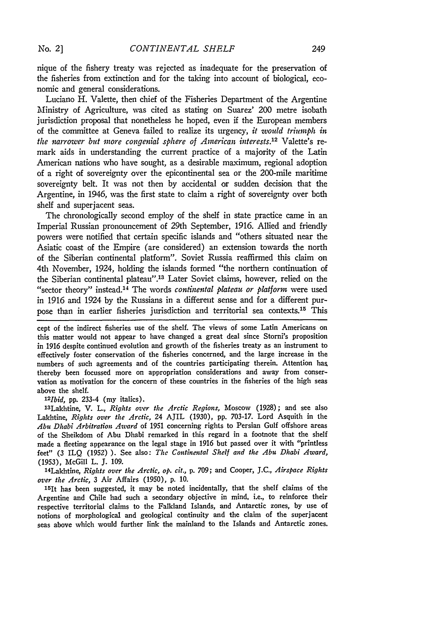nique of the fishery treaty was rejected as inadequate for the preservation of the fisheries from extinction and for the taking into account of biological, economic and general considerations.

Luciano H. Valette, then chief of the Fisheries Department of the Argentine Ministry of Agriculture, **was** cited as stating on Suarez' 200 metre isobath jurisdiction proposal that nonetheless he hoped, even **if** the European members of the committee at Geneva failed to realize its urgency, *it would triumph in the narrower but more congenial sphere of American interests.'2* Valette's remark aids in understanding the current practice of a majority of the Latin American nations who have sought, as a desirable maximum, regional adoption of a right of sovereignty over the epicontinental sea or the 200-mile maritime sovereignty belt. It was not then **by** accidental or sudden decision that the Argentine, in 1946, was the first state to claim a right of sovereignty over both shelf and superjacent seas.

The chronologically second employ of the shelf in state practice came in an Imperial Russian pronouncement of 29th September, **1916.** Allied and friendly powers were notified that certain specific islands and "others situated near the Asiatic coast of the Empire (are considered) an extension towards the north of the Siberian continental platform". Soviet Russia reaffirmed this claim on 4th November, 1924, holding the islands formed "the northern continuation of the Siberian continental plateau". 13 Later Soviet claims, however, relied on the "sector theory" instead. 14 The words *continental plateau or platform* were used in **1916** and 1924 **by** the Russians in a different sense and for a different purpose than in earlier fisheries jurisdiction and territorial sea contexts.<sup>15</sup> This

cept of the indirect fisheries use of the shelf. The views of some Latin Americans on this matter would not appear to have changed a great deal since Storni's proposition in **1916** despite continued evolution and growth of the fisheries treaty as an instrument to effectively foster conservation of the fisheries concerned, and the large increase in the numbers of such agreements and of the countries participating therein. Attention has, thereby been focussed more on appropriation considerations and away from conservation as motivation for the concern of these countries in the fisheries of the high seas above the shelf.

*1'2 Ibid,* **pp.** 233-4 (my italics).

2 3 Lakhtine, V. L., *Rights over the Arctic Regions,* Moscow **(1928);** and see also Lakhtine, *Rights over the Arctic,* 24 AJIL **(1930), pp. 703-17.** Lord Asquith in the *Abu Dhabi Arbitration Award* of **1951** concerning rights to Persian Gulf offshore areas of the Sheikdom of Abu Dhabi remarked in this regard in a footnote that the shelf made a fleeting appearance on the legal stage in **1916** but passed over it with "printless feet" **(3 ILQ (1952) ).** See also: *The Continental Shelf and the Abu Dhabi Award,* **(1953),** McGill L. **J. 109.**

' 4Lakhtine, *Rights over the Arctic, op. cit.,* **p. 709;** and Cooper, **J.C.,** *Airspace Rights over the Arctic,* **3** Air Affairs **(1950), p. 10.**

1 5It has been suggested, it may be noted incidentally, that the shelf claims of the Argentine and Chile had such a secondary objective in mind, i.e., to reinforce their respective territorial claims to the Falkland Islands, and Antarctic zones, **by** use of notions of morphological and geological continuity and the claim of the superjacent seas above which would further link the mainland to the Islands and Antarctic zones.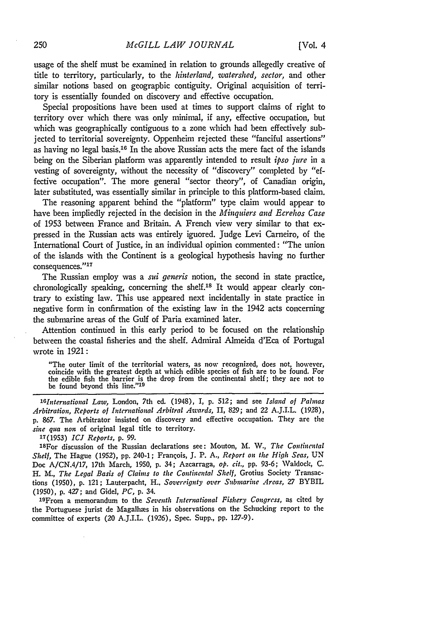usage of the shelf must be examined in relation to grounds allegedly creative of title to territory, particularly, to the *hinterland, watershed, sector,* and other similar notions based on geographic contiguity. Original acquisition of territory is essentially founded on discovery and effective occupation.

Special propositions have been used at times to support claims of right to territory over which there was only minimal, if any, effective occupation, but which was geographically contiguous to a zone which had been effectively subjected to territorial sovereignty. Oppenheim rejected these "fanciful assertions" as having no legal basis.<sup>16</sup> In the above Russian acts the mere fact of the islands being on the Siberian platform was apparently intended to result *ipso jure* in a vesting of sovereignty, without the necessity of "discovery" completed **by** "effective occupation". The more general "sector theory", of Canadian origin, later substituted, was essentially similar in principle to this platform-based claim.

The reasoning apparent behind the "platform" type claim would appear to have been impliedly rejected in the decision in the *Minquiers and Ecrehos Case* of 1953 between France and Britain. **A** French view very similar to that expressed in the Russian acts was entirely ignored. Judge Levi Carneiro, of the International Court of Justice, in an individual opinion commented: "The union of the islands with the Continent is a geological hypothesis having no further consequences."<sup>17</sup>

The Russian employ was a *sui generis* notion, the second in state practice, chronologically speaking, concerning the shelf.18 It would appear clearly contrary to existing law. This use appeared next incidentally in state practice in negative form in confirmation of the existing law in the 1942 acts concerning the submarine areas of the Gulf of Paria examined later.

Attention continued in this early period to be focused on the relationship between the coastal fisheries and the shelf. Admiral Almeida d'Eca of Portugal wrote in 1921:

"The outer limit of the territorial waters, as now recognized, does not, however, coincide with the greatest depth at which edible species of fish are to be found. For the edible fish the barrier is the drop from the continental shelf; they are not to be found beyond this line."<sup>19</sup>

*' <sup>8</sup> lnternational Law,* London, 7th ed. (1948), I, p. 512; and see *Island of Palmas Arbitration, Reports of International Arbitral Awards,* II, 829; and 22 A.J.I.L. (1928), **p. 867.** The Arbitrator insisted on discovery and effective occupation. They are the *sine qua non* of original legal title to territory.

**17(1953)** *ICJ Reports,* **p. 99.**

1 <sup>8</sup> For discussion of the Russian declarations see: Mouton, M. **W.,** *The Continental Shelf,* The Hague **(1952), pp.** 240-1; Francois, **J.** P. **A.,** *Report on the High Seas,* UN Doc **A/CN.4/17,** 17th March, **1950, p.** 34; Azcarraga, *op. cit.,* **pp. 93-6;** Waldock, **C.** H. *M., The Legal Basis of Claims to the Continental Shelf,* Grotius Society Transactions (1950), **p.** 121; Lauterpacht, H., *Sovereignty over Submarine Areas,* **27** BYBIL **(1950), p.** 427; and Gidel, *PC,* **p.** 34.

1 9From a memorandum to the *Seventh International Fishery Congress,* as cited **by** the Portuguese jurist de Magalhaes in his observations on the Schucking report to the committee of experts (20 A.J.I.L. **(1926),** Spec. Supp., **pp. 127-9).**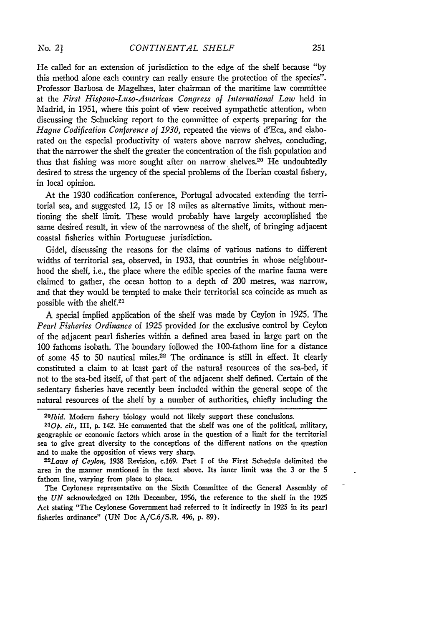He called for an extension of jurisdiction to the edge of the shelf because "by this method alone each country can really ensure the protection of the species". Professor Barbosa de Magelhæs, later chairman of the maritime law committee at the *First Hispano-Luso-American Congress of International Law* held in Madrid, in 1951, where this point of view received sympathetic attention, when discussing the Schucking report to the committee of experts preparing for the *Hague Codification Conference of 1930,* repeated the views of d'Eca, and elaborated on the especial productivity of waters above narrow shelves, concluding, that the narrower the shelf the greater the concentration of the fish population and thus that fishing was more sought after on narrow shelves.<sup>20</sup> He undoubtedly desired to stress the urgency of the special problems of the Iberian coastal fishery, in local opinion.

At the 1930 codification conference, Portugal advocated extending the territorial sea, and suggested 12, 15 or 18 miles as alternative limits, without mentioning the shelf limit. These would probably have largely accomplished the same desired result, in view of the narrowness of the shelf, of bringing adjacent coastal fisheries within Portuguese jurisdiction.

Gidel, discussing the reasons for the claims of various nations to different widths of territorial sea, observed, in 1933, that countries in whose neighbourhood the shelf, i.e., the place where the edible species of the marine fauna were claimed to gather, the ocean botton to a depth of 200 metres, was narrow, and that they would be tempted to make their territorial sea coincide as much as possible with the shelf.21

A special implied application of the shelf was made by Ceylon in 1925. The *Pearl Fisheries Ordinance* of 1925 provided for the exclusive control by Ceylon of the adjacent pearl fisheries within a defined area based in large part on the 100 fathoms isobath. The boundary followed the 100-fathom line for a distance of some 45 to 50 nautical miles.22 The ordinance is still in effect. It clearly constituted a claim to at least part of the natural resources of the sea-bed, if not to the sea-bed itself, of that part of the adjacent shelf defined. Certain of the sedentary fisheries have recently been included within the general scope of the natural resources of the shelf by a number of authorities, chiefly including the

area in the manner mentioned in the text above. Its inner limit was the 3 or the **5** fathom line, varying from place to place.

The Ceylonese representative on the Sixth Committee of the General Assembly of the *UN* acknowledged on 12th December, 1956, the reference to the shelf in the 1925 Act stating "The Ceylonese Government had referred to it indirectly in 1925 in its pearl fisheries ordinance" (UN Doc A/C.6/S.R. 496, p. 89).

*<sup>2</sup>O1bid.* Modern fishery biology would not likely support these conclusions.

*<sup>210</sup>p. cit.,* III, **p.** 142. He commented that the shelf was one of the political, military, geographic or economic factors which arose in the question of a limit for the territorial sea to give great diversity to the conceptions of the different nations on the question and to make the opposition of views very sharp. *22Laws of Ceylon,* 1938 Revision, c.169. Part I of the First Schedule delimited the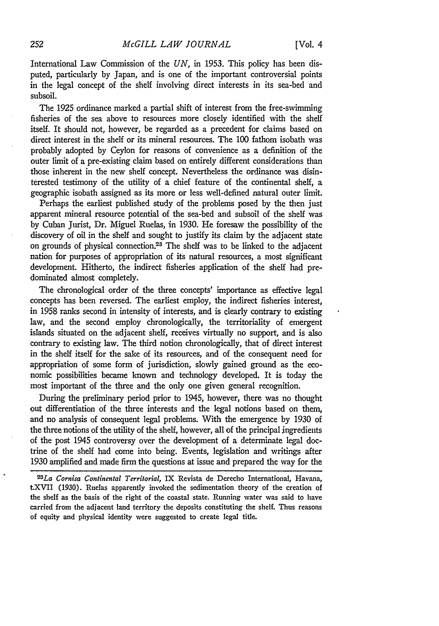International Law Commission of the *UN,* in 1953. This policy has been disputed, particularly by Japan, and is one of the important controversial points in the legal concept of the shelf involving direct interests in its sea-bed and subsoil.

The 1925 ordinance marked a partial shift of interest from the free-swimming fisheries of the sea above to resources more closely identified with the shelf itself. It should not, however, be regarded as a precedent for claims based on direct interest in the shelf or its mineral resources. The 100 fathom isobath was probably adopted by Ceylon for reasons of convenience as a definition of the outer limit of a pre-existing claim based on entirely different considerations than those inherent in the new shelf concept. Nevertheless the ordinance was disinterested testimony of the utility of a chief feature of the continental shelf, a geographic isobath assigned as its more or less well-defined natural outer limit.

Perhaps the earliest published study of the problems posed by the then just apparent mineral resource potential of the sea-bed and subsoil of the shelf was by Cuban Jurist, Dr. Miguel Ruelas, in 1930. He foresaw the possibility of the discovery of oil in the shelf and sought to justify its claim by the adjacent state on grounds of physical connection.<sup>23</sup> The shelf was to be linked to the adjacent nation for purposes of appropriation of its natural resources, a most significant development. Hitherto, the indirect fisheries application of the shelf had predominated almost completely.

The chronological order of the three concepts' importance as effective legal concepts has been reversed. The earliest employ, the indirect fisheries interest, in 1958 ranks second in intensity of interests, and is clearly contrary to existing law, and the second employ chronologically, the territoriality of emergent islands situated on the adjacent shelf, receives virtually no support, and is also contrary to existing law. The third notion chronologically, that of direct interest in the shelf itself for the sake of its resources, and of the consequent need for appropriation of some form of jurisdiction, slowly gained ground as the economic possibilities became known and technology developed. It is today the most important of the three and the only one given general recognition.

During the preliminary period prior to 1945, however, there was no thought out differentiation of the three interests and the legal notions based on them, and no analysis of consequent legal problems. With the emergence by 1930 of the three notions of the utility of the shelf, however, all of the principal ingredients of the post 1945 controversy over the development of a determinate legal doctrine of the shelf had come into being. Events, legislation and writings after 1930 amplified and made firm the questions at issue and prepared the way for the

*2 3 La Cornisa Continental Territorial,* IX Revista de Derecho International, Havana, tXVII (1930). Ruelas apparently invoked the sedimentation theory of the creation of the shelf as the basis of the right of the coastal state. Running water was said to have carried from the adjacent land territory the deposits constituting the shelf. Thus reasons of equity and physical identity were suggested to create legal title.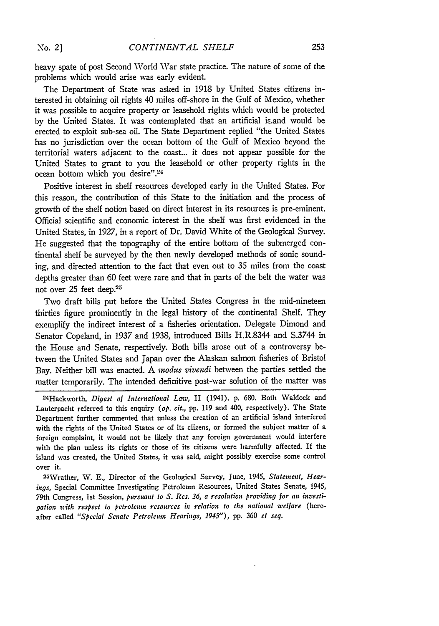heavy spate of post Second World War state practice. The nature of some of the problems which would arise was early evident.

The Department of State was asked in 1918 by United States citizens interested in obtaining oil rights 40 miles off-shore in the Gulf of Mexico, whether it was possible to acquire property or leasehold rights which would be protected by the United States. It was contemplated that an artificial is.and would be erected to exploit sub-sea oil. The State Department replied "the United States has no jurisdiction over the ocean bottom of the Gulf of Mexico beyond the territorial waters adjacent to the coast... it does not appear possible for the United States to grant to you the leasehold or other property rights in the ocean bottom which you desire".<sup>24</sup>

Positive interest in shelf resources developed early in the United States. For this reason, the contribution of this State to the initiation and the process of growth of the shelf notion based on direct interest in its resources is pre-eminent. Official scientific and economic interest in the shelf was first evidenced in the United States, in 1927, in a report of Dr. David White of the Geological Survey. He suggested that the topography of the entire bottom of the submerged continental shelf be surveyed by the then newly developed methods of sonic sounding, and directed attention to the fact that even out to 35 miles from the coast depths greater than 60 feet were rare and that in parts of the belt the water was not over 25 feet deep.<sup>25</sup>

Two draft bills put before the United States Congress in the mid-nineteen thirties figure prominently in the legal history of the continental Shelf. They exemplify the indirect interest of a fisheries orientation. Delegate Dimond and Senator Copeland, in 1937 and 1938, introduced Bills H.R.8344 and S.3744 in the House and Senate, respectively. Both bills arose out of a controversy between the United States and Japan over the Alaskan salmon fisheries of Bristol Bay. Neither bill was enacted. A *mnodus sivendi* between the parties settled the matter temporarily. The intended definitive post-war solution of the matter was

24 Hackworth, *Digest of International Law,* II (1941). **p.** 680. Both Waldock and Lauterpacht referred to this enquiry (op. **cit., pp.** 119 and 400, respectively). The State Department further commented that unless the creation of an artificial island interfered with the rights of the United States or of its ciizens, or formed the subject matter of a foreign complaint, it would not be likely that any foreign government would interfere with the plan unless its rights or those of its citizens were harmfully affected. If the island was created, the United States, it was said, might possibly exercise some control over it.

<sup>2</sup> 5Wrather, *V.* **E.,** Director of the Geological Survey, June, 1945, *Statement, Hearings,* Special Committee Investigating Petroleum Resources, United States Senate, 1945, 79th Congress, **1st** Session, *pursuant to S. Res. 36, a resolution providing for an investigation with respect to petroleum resources in relation to the national welfare* (hereafter called *"Special Senate Petroleum Hearings,* 1945"), **pp.** *360 et seq.*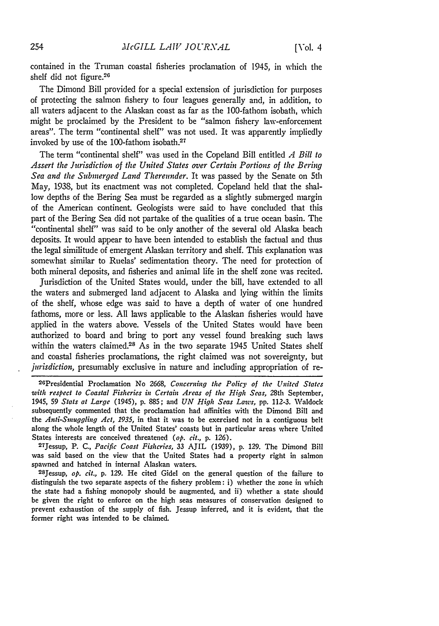contained in the Truman coastal fisheries proclamation of 1945, in which the shelf did not figure.26

The Dimond Bill provided for a special extension of jurisdiction for purposes of protecting the salmon fishery to four leagues generally and, in addition, to all waters adjacent to the Alaskan coast as far as the 100-fathom isobath, which might be proclaimed by the President to be "salmon fishery law-enforcement areas". The term "continental shelf" was not used. It was apparently impliedly invoked by use of the 100-fathom isobath.27

The term "continental shelf" was used in the Copeland Bill entitled *A Bill to Assert the Jurisdiction of the United States over Certain Portions of the Bering Sea and the Submerged Land Thereunder.* It was passed by the Senate on 5th May, 1938, but its enactment was not completed. Copeland held that the shallow depths of the Bering Sea must be regarded as a slightly submerged margin of the American continent. Geologists were said to have concluded that this part of the Bering Sea did not partake of the qualities of a true ocean basin. The "continental shelf" was said to be only another of the several old Alaska beach deposits. It would appear to have been intended to establish the factual and thus the legal similitude of emergent Alaskan territory and shelf. This explanation was somewhat similar to Ruelas' sedimentation theory. The need for protection of both mineral deposits, and fisheries and animal life in the shelf zone was recited.

Jurisdiction of the United States would, under the bill, have extended to all the waters and submerged land adjacent to Alaska and lying within the limits of the shelf, whose edge was said to have a depth of water of one hundred fathoms, more or less. **All** laws applicable to the Alaskan fisheries would have applied in the waters above. Vessels of the United States would have been authorized to board and bring to port any vessel found breaking such laws within the waters claimed.<sup>28</sup> As in the two separate 1945 United States shelf and coastal fisheries proclamations, the right claimed was not sovereignty, but *jurisdiction,* presumably exclusive in nature and including appropriation of re-

<sup>26</sup>Presidential Proclamation No 2668, Concerning the Policy of the United States *with respect to Coastal Fisheries in Certain Areas of the High Seas,* 28th September, 1945, 59 *Stats at Large* (1945), p. 885; and *UN High Seas Laws,* pp. 112-3. Waldock subsequently commented that the proclamation had affinities with the Dimond Bill and the *Anti-Smuggling Act, 1935,* in that it was to be exercised not in a contiguous belt along the whole length of the United States' coasts but in particular areas where United States interests are conceived threatened *(op. cit.,* p. 126). 27jessup, P. C., *Pacific Coast Fisheries,* 33 AJIL (1939), p. 129. The Dimond Bill

was said based on the view that the United States had a property right in salmon spawned and hatched in internal Alaskan waters.

28Jessup, *op. cit.,* p. 129. He cited Gidel on the general question of the failure to distinguish the two separate aspects of the fishery problem: i) whether the zone in which the state had a fishing monopoly should be augmented, and ii) whether a state should be given the right to enforce on the high seas measures of conservation designed to prevent exhaustion of the supply of fish. Jessup inferred, and it is evident, that the former right was intended to be claimed.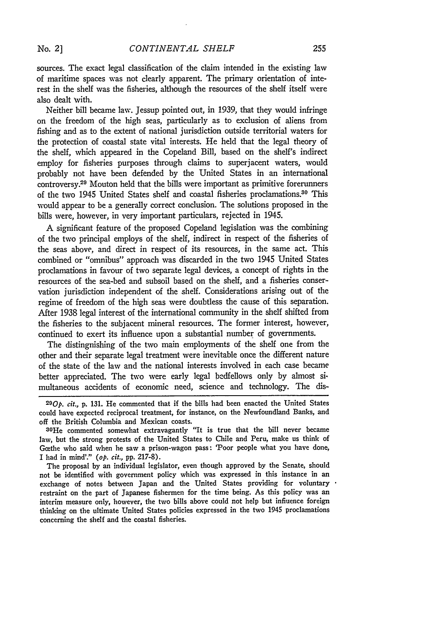sources. The exact legal classification of the claim intended in the existing law of maritime spaces was not clearly apparent. The primary orientation of interest in the shelf was the fisheries, although the resources of the shelf itself were also dealt with,

Neither bill became law. Jessup pointed out, in 1939, that they would infringe on the freedom of the high seas, particularly as to exclusion of aliens from fishing and as to the extent of national jurisdiction outside territorial waters for the protection of coastal state vital interests. He held that the legal theory of the shelf, which appeared in the Copeland Bill, based on the shelf's indirect employ for fisheries purposes through claims to superjacent waters, would probably not have been defended by the United States in an international controversy.29 Mouton held that the bills were important as primitive forerunners of the two 1945 United States shelf and coastal fisheries proclamations.<sup>30</sup> This would appear to be a generally correct conclusion. The solutions proposed in the bills were, however, in very important particulars, rejected in 1945.

A significant feature of the proposed Copeland legislation was the combining of the two principal employs of the shelf, indirect in respect of the fisheries of the seas above, and direct in respect of its resources, in the same act. This combined or "omnibus" approach was discarded in the two 1945 United States proclamations in favour of two separate legal devices, a concept of rights in the resources of the sea-bed and subsoil based on the shelf, and a fisheries conservation jurisdiction independent of the shelf. Considerations arising out of the regime of freedom of the high seas were doubtless the cause of this separation. After 1938 legal interest of the international community in the shelf shifted from the fisheries to the subjacent mineral resources. The former interest, however, continued to exert its influence upon a substantial number of governments.

The distingnishing of the two main employments of the shelf one from the other and their separate legal treatment were inevitable once the different nature of the state of the law and the national interests involved in each case became better appreciated. The two were early legal bedfellows only by almost simultaneous accidents of economic need, science and technology. The dis-

*<sup>29</sup> 0p.* cit., **p. 131.** He commented that if the bills had been enacted the United States could have expected reciprocal treatment, for instance, on the Newfoundland Banks, and off the British Columbia and Mexican coasts.

<sup>30</sup> He commented somewhat extravagantly "It is true that the bill never became law, but the strong protests of the United States to Chile and Peru, make us think of Gœthe who said when he saw a prison-wagon pass: 'Poor people what you have done, I had in mind'." *(op. cit.,* **pp. 217-8).**

The proposal **by** an individual legislator, even though approved **by** the Senate, should not be identified with government policy which **was** expressed in this instance in an exchange of notes between Japan and the United States providing for voluntary restraint on the part of Japanese fishermen for the time being. As this policy was an interim measure only, however, the two bills above could not help but influence foreign thinking on the ultimate United States policies expressed in the two 1945 proclamations concerning the shelf and the coastal fisheries.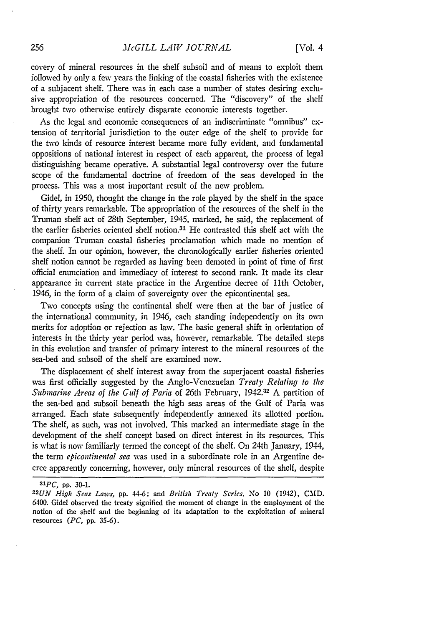covery of mineral resources in the shelf subsoil and of means to exploit them followed by only a few years the linking of the coastal fisheries with the existence of a subjacent shelf. There was in each case a number of states desiring exclusive appropriation of the resources concerned. The "discovery" of the shelf brought two otherwise entirely disparate economic interests together.

As the legal and economic consequences of an indiscriminate "omnibus" extension of territorial jurisdiction to the outer edge of the shelf to provide for the two kinds of resource interest became more fully evident, and fundamental oppositions of national interest in respect of each apparent, the process of legal distinguishing became operative. A substantial legal controversy over the future scope of the fundamental doctrine of freedom of the seas developed in the process. This was a most important result of the new problem.

Gidel, in 1950, thought the change in the role played by the shelf in the space of thirty years remarkable. The appropriation of the resources of the shelf in the Truman shelf act of 28th September, 1945, marked, he said, the replacement of the earlier fisheries oriented shelf notion.31 He contrasted this shelf act with the companion Truman coastal fisheries proclamation which made no mention of the shelf. In our opinion, however, the chronologically earlier fisheries oriented shelf notion cannot be regarded as having been demoted in point of time of first official enunciation and immediacy of interest to second rank. It made its clear appearance in current state practice in the Argentine decree of 11th October, 1946, in the form of a claim of sovereignty over the epicontinental sea.

Two concepts using the continental shelf were then at the bar of justice of the international community, in 1946, each standing independently on its own merits for adoption or rejection as law. The basic general shift in orientation of interests in the thirty year period was, however, remarkable. The detailed steps in this evolution and transfer of primary interest to the mineral resources of the sea-bed and subsoil of the shelf are examined now.

The displacement of shelf interest away from the superjacent coastal fisheries was first officially suggested by the Anglo-Venezuelan *Treaty Relating to the Submarine Areas of the Gulf of Paria* of 26th February, 1942.32 A partition of the sea-bed and subsoil beneath the high seas areas of the Gulf of Paria was arranged. Each state subsequently independently annexed its allotted portion. The shelf, as such, was not involved. This marked an intermediate stage in the development of the shelf concept based on direct interest in its resources. This is what is now familiarly termed the concept of the shelf. On 24th January, 1944, the term *epicontinental sea* was used in a subordinate role in an Argentine decree apparently concerning, however, only mineral resources of the shelf, despite

*<sup>3&#</sup>x27;PC,* pp. 30-1.

*<sup>2</sup> 2UN High Seas Laws,* pp. 44-6; and *British Treaty Series.* No 10 (1942), CMD. 6400. Gidel observed the treaty signified the moment of change in the employment of the notion of the shelf and the beginning of its adaptation to the exploitation of mineral resources *(PC,* pp. 35-6).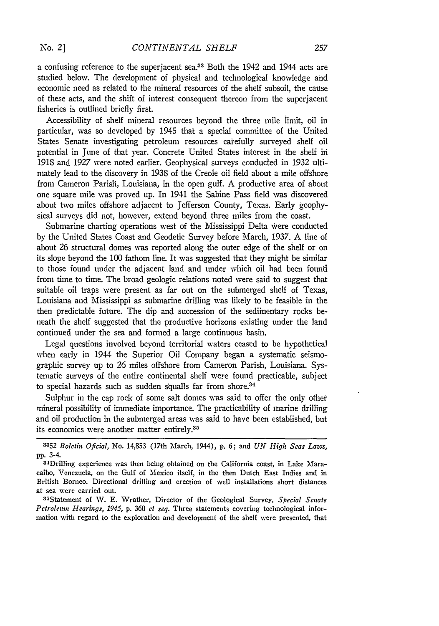a confusing reference to the superjacent sea.<sup>33</sup> Both the 1942 and 1944 acts are studied below. The development of physical and technological knowledge and economic need as related to the mineral resources of the shelf subsoil, the cause of these acts, and the shift of interest consequent thereon from the superjacent fisheries is outlined briefly first.

Accessibility of shelf mineral resources beyond the three mile limit, oil in particular, was so developed by 1945 that a special committee of the United States Senate investigating petroleum resources caiefully surveyed shelf oil potential in June of that year. Concrete United States interest in the shelf ii 1918 and 1927 were noted earlier. Geophysical surveys conducted in 1932 ultimately lead to the discovery in 1938 of the Creole oil field about a mile offshore from Cameron Parish, Louisiana, in the open gulf. A productive area of about one square mile was proved up. In 1941 the Sabine Pass field was discovered about two miles offshore adjacent to Jefferson County, Texas. Early geophysical surveys did not, however, extend beyond three miles from the coast.

Submarine charting operations west of the Mississippi Delta were conducted by the United States Coast and Geodetic Survey before March, 1937. A line of about 26 structural domes was reported along the outer edge of the shelf or on its slope beyond the 100 fathom line. It was suggested that they might be similar to those found under the adjacent land and under which oil had been found from time to time. The broad geologic relations noted were said to suggest that suitable oil traps were present as far out on the submerged shelf of Texas, Louisiana and Mississippi as submarine drilling was likely to be feasible in the then predictable future. The dip and succession of the sediinentary rocks beneath the shelf suggested that the productive horizons existing under the land continued under the sea and formed a large continuous basin.

Legal questions involved beyond territorial waters ceased to be hypothetical when early in 1944 the Superior Oil Company began a systematic seismographic survey up to 26 miles offshore from Cameron Parish, Louisiana. Systematic surveys of the entire continental shelf were found practicable, subject to special hazards such as sudden squalls far from shore.<sup>34</sup>

Sulphur in the cap rock of some salt domes was said to offer the only other mineral possibility of immediate importance. The practicability of marine drilling and oil production in the submerged areas was said to have been established, but its economics were another matter entirely.<sup>35</sup>

3 5 Statement of W. **E.** Wrather, Director of the Geological Survey, *Special Senate Petroleum Hearings, 1945,* **p. 360** *et seq.* Three statements covering technological information with regard to the exploration and development of the shelf were presented, that

*<sup>3352</sup> Boletin Oficial,* No. 14,853 (17th Mfarch, 1944), p. 6; and *UN* High *Seas Laws,* pp. 3-4.

<sup>34</sup> Drilling experience was then being obtained on the California coast, in Lake Maracaibo, Venezuela, on the Gulf of 'Mexico itself, in the then Dutch East Indies and in British Borneo. Directional drilling and erection of well installations short distances at sea were carried out.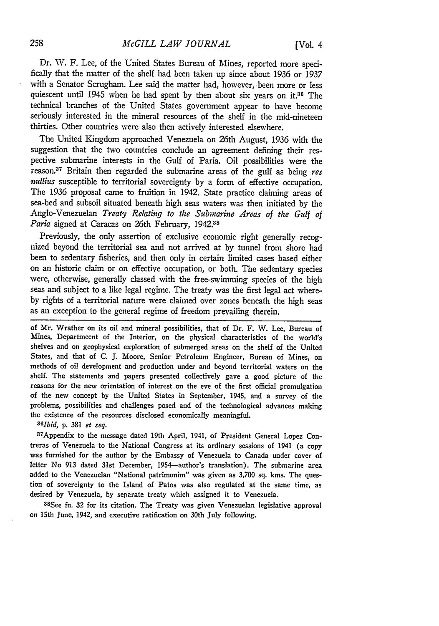Dr. W. F. Lee, of the United States Bureau of Mines, reported more specifically that the matter of the shelf had been taken up since about 1936 or 1937 with a Senator Scrugham. Lee said the matter had, however, been more or less quiescent until 1945 when he had spent by then about six years on it.<sup>36</sup> The technical branches of the United States government appear to have become seriously interested in the mineral resources of the shelf in the mid-nineteen thirties. Other countries were also then actively interested elsewhere.

The United Kingdom approached Venezuela on 26th August, 1936 with the suggestion that the two countries conclude an agreement defining their respective submarine interests in the Gulf of Paria. Oil possibilities were the reason.<sup>37</sup> Britain then regarded the submarine areas of the gulf as being res *nullius* susceptible to territorial sovereignty by a form of effective occupation. The 1936 proposal came to fruition in 1942. State practice claiming areas of sea-bed and subsoil situated beneath high seas waters was then initiated by the Anglo-Venezuelan *Treaty Relating to the Submarine Areas of the Gulf of* Paria signed at Caracas on 26th February, 1942.<sup>38</sup>

Previously, the only assertion of exclusive economic right generally recognized beyond the territorial sea and not arrived at by tunnel from shore had been to sedentary fisheries, and then only in certain limited cases based either on an historic claim or on effective occupation, or both. The sedentary species were, otherwise, generally classed with the free-swimming species of the high seas and subject to a like legal regime. The treaty was the first legal act whereby rights of a territorial nature were claimed over zones beneath the high seas as an exception to the general regime of freedom prevailing therein.

of Mr. Wrather on its oil and mineral possibilities, that of Dr. F. W. Lee, Bureau of Mines, Departmeent of the Interior, on the physical characteristics of the world's shelves and on geophysical exploration of submerged areas on the shelf of the United States, and that of C. *3.* Moore, Senior Petroleum Engineer, Bureau of Mines, on methods of oil development and production under and beyond territorial waters on the shelf. The statements and papers presented collectively gave a good picture of the reasons for the new orientation of interest on the eve of the first official promulgation of the new concept by the United States in September, 1945, and a survey of the problems, possibilities and challenges posed and of the technological advances making the existence of the resources disclosed economically meaningful. *<sup>36</sup>*

*lbid,* p. 381 *et seq.*

37 Appendix to the message dated 19th April, 1941, of President General Lopez Contreras of Venezuela to the National Congress at its ordinary sessions of 1941 (a copy was furnished for the author by the Embassy of Venezuela to Canada under cover of letter No **913** dated 31st December, 1954-author's translation). The submarine area added to the Venezuelan "National patrimonim" was given as 3,700 sq. kms. The question of sovereignty to the Island of Patos was also regulated at the same time, as desired by Venezuela, by separate treaty which assigned it to Venezuela.

35See fn. **32** for its citation. The Treaty was given Venezuelan legislative approval on 15th June, 1942, and executive ratification on 30th July following.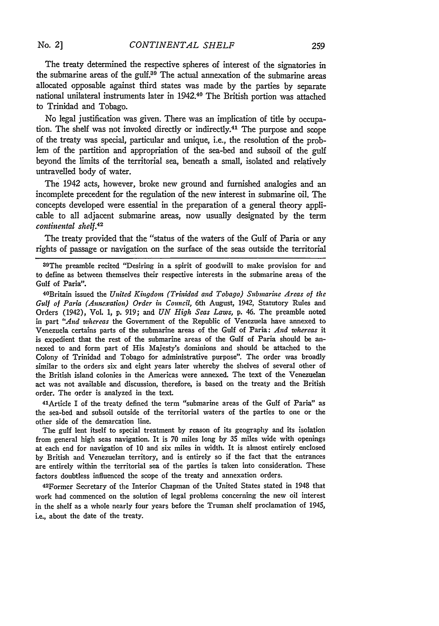The treaty determined the respective spheres of interest of the signatories in the submarine areas of the gulf. $39$  The actual annexation of the submarine areas allocated opposable against third states was made **by** the parties **by** separate national unilateral instruments later in 1942.40 The British portion was attached to Trinidad and Tobago.

No legal justification was given. There was an implication of title **by** occupation. The shelf was not invoked directly or indirectly.<sup>41</sup> The purpose and scope of the treaty was special, particular and unique, i.e., the resolution of the problem of the partition and appropriation of the sea-bed and subsoil of the **gulf** beyond the limits of the territorial sea, beneath a small, isolated and relatively untravelled body of water.

The 1942 acts, however, broke new ground and furnished analogies and an incomplete precedent for the regulation of the new interest in submarine oil. The concepts developed were essential in the preparation of a general theory applicable to all adjacent submarine areas, now usually designated **by** the term *continental shelf.42*

The treaty provided that the "status of the waters of the Gulf of Paria or any rights of passage or navigation on the surface of the seas outside the territorial

**30The** preamble recited "Desiring in a spirit of goodwill to make provision for and to define as between themselves their respective interests in the submarine areas of the Gulf of Paria".

40 Britain issued the *United Kingdom (Trinidad and Tobago) Submarine Areas of the Gulf of Paria (Annexation) Order in Council,* 6th August, 1942, Statutory Rules and Orders (1942), Vol. **1, p. 919;** and *UN High Seas Laws,* **p.** 46. The preamble noted in part *"And whereas* the Government of the Republic of Venezuela have annexed to Venezuela certains parts of the submarine areas of the Gulf of Paria: *And whereas* it is expedient that the rest of the submarine areas of the Gulf of Paria should be annexed to and form part of His Majesty's dominions and should be attached to the Colony of Trinidad and Tobago for administrative purpose". The order was broadly similar to the orders six and eight years later whereby the shelves of several other of the British island colonies in the Americas were annexed. The text of the Venezuelan act was not available and discussion, therefore, is based on the treaty and the British order. The order is analyzed in the text.

<sup>4</sup> lArticle I of the treaty defined the term "submarine areas of the Gulf of Paria" as the sea-bed and subsoil outside of the territorial waters of the parties to one or the other side of the demarcation line.

The gulf lent itself to special treatment **by** reason of its geography and its isolation from general high seas navigation. It is **70** miles long **by 35** miles wide with openings at each end for navigation of **10** and six miles in width. It is almost entirely enclosed **by** British and Venezuelan territory, and is entirely so if the fact that the entrances are entirely within the territorial sea of the parties is taken into consideration. These factors doubtless influenced the scope of the treaty and annexation orders.

42Former Secretary of the Interior Chapman of the United States stated in 1948 that work had commenced on the solution of legal problems concerning the new oil interest in the shelf as a whole nearly four years before the Truman shelf proclamation of 1945, i.e., about the date of the treaty.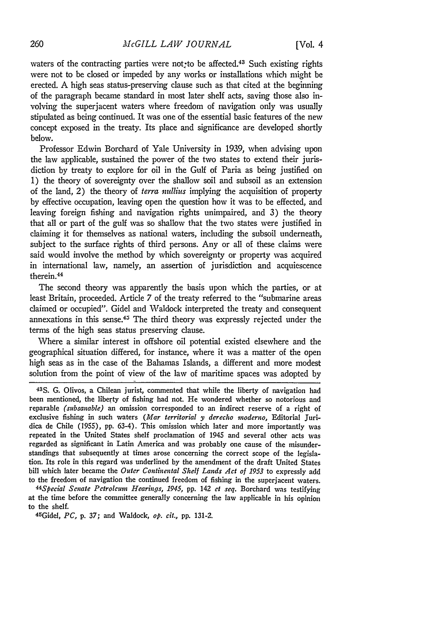waters of the contracting parties were not<sub>r</sub>to be affected.<sup>43</sup> Such existing rights were not to be closed or impeded by any works or installations which might be erected. A high seas status-preserving clause such as that cited at the beginning of the paragraph became standard in most later shelf acts, saving those also involving the superjacent waters where freedom of navigation only was usually stipulated as being continued. It was one of the essential basic features of the new concept exposed in the treaty. Its place and significance are developed shortly below.

Professor Edwin Borchard of Yale University in 1939, when advising upon the law applicable, sustained the power of the two states to extend their jurisdiction by treaty to explore for oil in the Gulf of Paria as being justified on 1) the theory of sovereignty over the shallow soil and subsoil as an extension of the land, 2) the theory of *terra nullius* implying the acquisition of property by effective occupation, leaving open the question how it was to be effected, and leaving foreign fishing and navigation rights unimpaired, and 3) the theory that all or part of the gulf was so shallow that the two states were justified in claiming it for themselves as national waters, including the subsoil underneath, subject to the surface rights of third persons. Any or all of these claims were said would involve the method by which sovereignty or property was acquired in international law, namely, an assertion of jurisdiction and acquiescence therein.<sup>44</sup>

The second theory was apparently the basis upon which the parties, or at least Britain, proceeded. Article 7 of the treaty referred to the "submarine areas claimed or occupied". Gidel and Waldock interpreted the treaty and consequent annexations in this sense.45 The third theory was expressly rejected under the terms of the high seas status preserving clause.

Where a similar interest in offshore oil potential existed elsewhere and the geographical situation differed, for instance, where it was a matter of the open high seas as in the case of the Bahamas Islands, a different and more modest solution from the point of view of the law of maritime spaces was adopted by

*44 Special Senate Petroleum Hearings, 1945,* **pp.** 142 *et seq.* Borchard was testifying at the time before the committee generally concerning the law applicable in his opinion to the shelf.

45 Gidel, *PC,* **p. 37;** and Waldock, *op. cit.,* **pp.** 131-2.

<sup>43</sup>S. G. Olivos, a Chilean jurist, commented that while the liberty of navigation had been mentioned, the liberty of fishing had not. He wondered whether so notorious and reparable *(subsanable)* an omission corresponded to an indirect reserve of a right of exclusive fishing in such waters *(Mar territorial y derecho inoderno,* Editorial Juridica de Chile (1955), pp. 63-4). This omission which later and more importantly was repeated in the United States shelf proclamation of 1945 and several other acts was regarded as significant in Latin America and was probably one cause of the misunderstandings that subsequently at times arose concerning the correct scope of the legislation. Its role in this regard was underlined by the amendment of the draft United States bill which later became the *Outer Continental Shelf Lands Act of 1953* to expressly add to the freedom of navigation the continued freedom of fishing in the superjacent waters.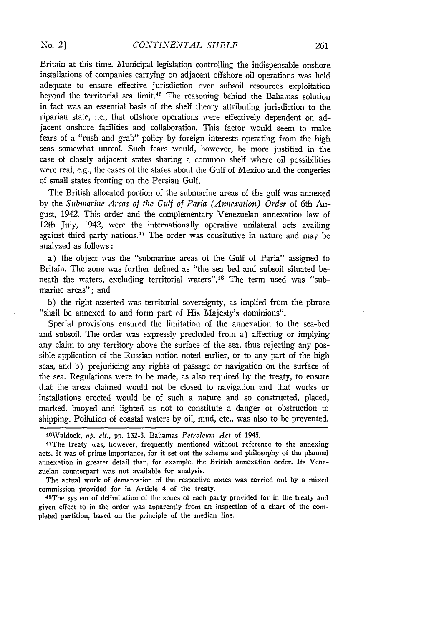Britain at this time. Municipal legislation controlling the indispensable onshore installations of companies carrying on adjacent offshore oil operations was held adequate to ensure effective jurisdiction over subsoil resources exploitation beyond the territorial sea limit.46 The reasoning behind the Bahamas solution in fact was an essential basis of the shelf theory attributing jurisdiction to the riparian state, i.e., that offshore operations were effectively dependent on adjacent onshore facilities and collaboration. This factor would seem to make fears of a "rush and grab" policy by foreign interests operating from the high seas somewhat unreal. Such fears would, however, be more justified in the case of closely adjacent states sharing a common shelf where oil possibilities were real, e.g., the cases of the states about the Gulf of Mexico and the congeries of small states fronting on the Persian Gulf.

The British allocated portion of the submarine areas of the gulf was annexed by the *Submarine Areas of the Gulf of Paria (Annexation) Order* of 6th August, 1942. This order and the complementary Venezuelan annexation law of 12th July, 1942, were the internationally operative unilateral acts availing against third party nations.<sup>47</sup> The order was consitutive in nature and may be analyzed as follows:

a) the object was the "submarine areas of the Gulf of Paria" assigned to Britain. The zone was further defined as "the sea bed and subsoil situated beneath the waters, excluding territorial waters".<sup>48</sup> The term used was "submarine areas"; and

b) the right asserted was territorial sovereignty, as implied from the phrase "shall be annexed to and form part of His Majesty's dominions".

Special provisions ensured the limitation of the annexation to the sea-bed and subsoil. The order was expressly precluded from a) affecting or implying any claim to any territory above the surface of the sea, thus rejecting any possible application of the Russian notion noted earlier, or to any part of the high seas, and b) prejudicing any rights of passage or navigation on the surface of the sea. Regulations were to be made, as also required by the treaty, to ensure that the areas claimed would not be closed to navigation and that works or installations erected would be of such a nature and so constructed, placed, marked, buoyed and lighted as not to constitute a danger or obstruction to shipping. Pollution of coastal waters by oil, mud, etc., was also to be prevented.

The actual work of demarcation of the respective zones was carried out **by** a mixed commission provided for in Article 4 of the treaty.

The system of delimitation of the zones of each party provided for in the treaty and given effect to in the order was apparently from an inspection of a chart of the completed partition, based on the principle of the median line.

<sup>46</sup>Waldock, *op.* cit., pp. 132-3. Bahamas *Petroleum Act* of 1945.

<sup>47</sup>T The treaty was, however, frequently mentioned without reference to the annexing acts. It was of prime importance, for it set out the scheme and philosophy of the planned annexation in greater detail than, for example, the British annexation order. Its Venezuelan counterpart was not available for analysis.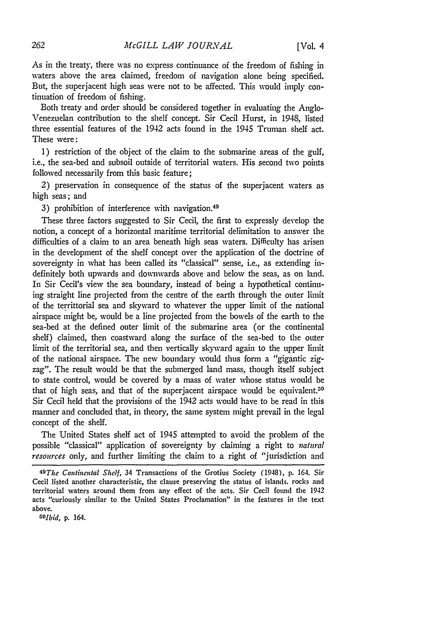As in the treaty, there was no express continuance of the freedom of fishing in waters above the area claimed, freedom of navigation alone being specified. But, the superjacent high seas were not to be affected. This would imply continuation of freedom of fishing.

Both treaty and order should be considered together in evaluating the Anglo-Venezuelan contribution to the shelf concept. Sir Cecil Hurst, in 1948, listed three essential features of the 1942 acts found in the 1945 Truman shelf act. These were:

1) restriction of the object of the claim to the submarine areas of the gulf, i.e., the sea-bed and subsoil outside of territorial waters. His second two points followed necessarily from this basic feature;

2) preservation in consequence of the status of the superjacent waters as high seas; and

3) prohibition of interference with navigation.<sup>49</sup>

These three factors suggested to Sir Cecil, the first to expressly develop the notion, a concept of a horizontal maritime territorial delimitation to answer the difficulties of a claim to an area beneath high seas waters. Difficulty has arisen in the development of the shelf concept over the application of the doctrine of sovereignty in what has been called its "classical" sense, i.e., as extending indefinitely both upwards and downwards above and below the seas, as on land. In Sir Cecil's view the sea boundary, instead of being a hypothetical continuing straight line projected from the centre of the earth through the outer limit of the territtorial sea and skyward to whatever the upper limit of the national airspace might be, would be a line projected from the bowels of the earth to the sea-bed at the defined outer limit of the submarine area (or the continental shelf) claimed, then coastward along the surface of the sea-bed to the outer limit of the territorial sea, and then vertically skyward again to the upper limit of the national airspace. The new boundary would thus form a "gigantic zigzag". The result would be that the submerged land mass, though itself subject to state control, would be covered by a mass of water whose status would be that of high seas, and that of the superjacent airspace would be equivalent.<sup>50</sup> Sir Cecil held that the provisions of the 1942 acts would have to be read in this manner and concluded that, in theory, the same system might prevail in the legal concept of the shelf.

The United States shelf act of 1945 attempted to avoid the problem of the possible "classical" application of sovereignty by claiming a right to *natural resources* only, and further limiting the claim to a right of "jurisdiction and

<sup>49</sup> The *Continental Shelf,* 34 Transactions of the Grotius Society (1948), p. 164. Sir Cecil listed another characteristic, the clause preserving the status of islands, rocks and territorial waters around them from any effect of the acts. Sir Cecil found the 1942 acts "curiously similar to the United States Proclamation" in the features in the text above. *50Ibid,* p. 164.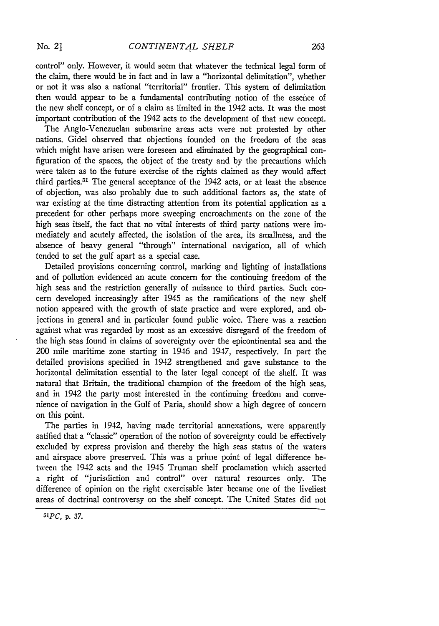control" only. However, it would seem that whatever the technical legal form of the claim, there would be in fact and in law a "horizontal delimitation", whether or not it was also a national "territorial" frontier. This system of delimitation then would appear to be a fundamental contributing notion of the essence of the new shelf concept, or of a claim as limited in the 1942 acts. It was the most important contribution of the 1942 acts to the development of that new concept.

The Anglo-Venezuelan submarine areas acts were not protested by other nations. Gidel observed that objections founded on the freedom of the seas which might have arisen were foreseen and eliminated by the geographical configuration of the spaces, the object of the treaty and by the precautions which were taken as to the future exercise of the rights claimed as they would affect third parties.<sup>51</sup> The general acceptance of the 1942 acts, or at least the absence of objection, was also probably due to such additional factors as, the state of war existing at the time distracting attention from its potential application as a precedent for other perhaps more sweeping encroachments on the zone of the high seas itself, the fact that no vital interests of third party nations were immediately and acutely affected, the isolation of the area, its smallness, and the absence of heavy general "through" international navigation, all of which tended to set the gulf apart as a special case.

Detailed provisions concerning control, marking and lighting of installations and of pollution evidenced an acute concern for the continuing freedom of the high seas and the restriction generally of nuisance to third parties. Such concern developed increasingly after 1945 as the ramifications of the new shelf notion appeared with the growth of state practice and were explored, and objections in general and in particular found public voice. There was a reaction against what was regarded by most as an excessive disregard of the freedom of the high seas found in claims of sovereignty over the epicontinental sea and the 200 mile maritime zone starting in 1946 and 1947, respectively. In part the detailed provisions specified in 1942 strengthened and gave substance to the horizontal delimitation essential to the later legal concept of the shelf. It was natural that Britain, the traditional champion of the freedom of the high seas, and in 1942 the party most interested in the continuing freedom and convenience of navigation in the Gulf of Paria, should show a high degree of concern on this point.

The parties in 1942, having made territorial annexations, were apparently satified that a "classic" operation of the notion of sovereignty could be effectively excluded by express provision and thereby the high seas status of the waters and airspace above preserved. This was a prime point of legal difference between the 1942 acts and the 1945 Truman shelf proclamation which asserted a right of "jurisdiction and control" over natural resources only. The difference of opinion on the right exercisable later became one of the liveliest areas of doctrinal controversy on the shelf concept. The United States did not

*<sup>5</sup>iPC,* **p. 37.**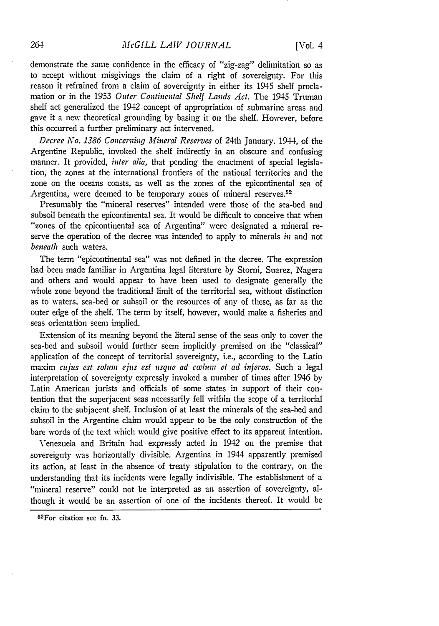demonstrate the same confidence in the efficacy of "zig-zag" delimitation so as to accept without misgivings the claim of a right of sovereignty. For this reason it refrained from a claim of sovereignty in either its 1945 shelf proclamation or in the 1953 *Outer Continental Shelf Lands Act.* The 1945 Truman shelf act generalized the 1942 concept of appropriation of submarine areas and gave it a new theoretical grounding by basing it on the shelf. However, before this occurred a further preliminary act intervened.

*Decree* No. *1386 Concerning Mineral Reserves* of 24th January. 1944, of the Argentine Republic, invoked the shelf indirectly in an obscure and confusing manner. It provided, *inter alia,* that pending the enactment of special legislation, the zones at the international frontiers of the national territories and the zone on the oceans coasts, as well as the zones of the epicontinental sea of Argentina, were deemed to be temporary zones of mineral reserves.<sup>52</sup>

Presumably the "mineral reserves" intended were those of the sea-bed and subsoil beneath the epicontinental sea. It would be difficult to conceive that when "zones of the epicontinental sea of Argentina" were designated a mineral reserve the operation of the decree was intended to apply to minerals *in* and not *beneath* such waters.

The term "epicontinental sea" was not defined in the decree. The expression had been made familiar in Argentina legal literature **by** Storni, Suarez, Nagera and others and would appear to have been used to designate generally the whole zone beyond the traditional limit of the territorial sea, without distinction as to waters, sea-bed or subsoil or the resources of any of these, as far as the outer edge of the shelf. The term by itself, however, would make a fisheries and seas orientation seem implied.

Extension of its meaning beyond the literal sense of the seas only to cover the sea-bed and subsoil would further seem implicitly premised on the "classical" application of the concept of territorial sovereignty, i.e., according to the Latin maxim cujus est solum ejus est usque ad cœlum et ad inferos. Such a legal interpretation of sovereignty expressly invoked a number of times after 1946 **by** Latin American jurists and officials of some states in support of their contention that the superjacent seas necessarily fell within the scope of a territorial claim to the subjacent shelf. Inclusion of at least the minerals of the sea-bed and subsoil in the Argentine claim would appear to be the only construction of the bare words of the text which would give positive effect to its apparent intention.

Venezuela and Britain had expressly acted in 1942 on the premise that sovereignty was horizontally divisible. Argentina in 1944 apparently premised its action, at least in the absence of treaty stipulation to the contrary, on the understanding that its incidents were legally indivisible. The establishment of a "mineral reserve" could not be interpreted as an assertion of sovereignty, although it would be an assertion of one of the incidents thereof. It would be

<sup>52</sup> For citation see **fn. 33.**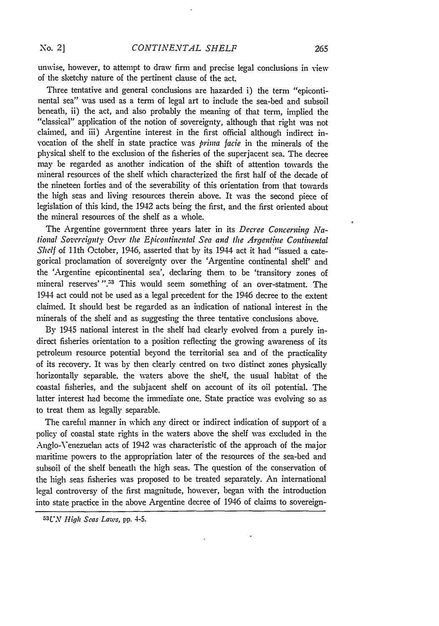unwise, however, to attempt to draw firm and precise legal conclusions in view of the sketchy nature of the pertinent clause of the act.

Three tentative and general conclusions are hazarded i) the term "epicontinental sea" was used as a term of legal art to include the sea-bed and subsoil beneath, ii) the act, and also probably the meaning of that term, implied the "classical" application of the notion of sovereignty, although that right was not claimed, and iii) Argentine interest in the first official although indirect invocation of the shelf in state practice was *prima facie* in the minerals of the physical shelf to the exclusion of the fisheries of the superjacent sea. The decree may be regarded as another indication of the shift of attention towards the mineral resources of the shelf which characterized the first half of the decade of the nineteen forties and of the severability of this orientation from that towards the high seas and living resources therein above. It was the second piece of legislation of this kind, the 1942 acts being the first, and the first oriented about the mineral resources of the shelf as a whole.

The Argentine government three years later in its *Decree Concerning National Sovereignty Over the Epicontinental Sea and the Argentine Continental* **Shelf** of 11th October, 1946, asserted that by its 1944 act it had "issued a categorical proclamation of sovereignty over the 'Argentine continental shelf' and the 'Argentine epicontinental sea', declaring them to be 'transitory zones of mineral reserves'".<sup>53</sup> This would seem something of an over-statment. The 1944 act could not be used as a legal precedent for the 1946 decree to the extent claimed. It should best be regarded as an indication of national interest in the minerals of the shelf and as suggesting the three tentative conclusions above.

By 1945 national interest in the shelf had clearly evolved from a purely indirect fisheries orientation to a position reflecting the growing awareness of its petroleum resource potential beyond the territorial sea and of the practicality of its recovery. It was by then clearly centred on two distinct zones physically horizontally separable. the waters above the shelf, the usual habitat of the coastal fisheries, and the subjacent shelf on account of its oil potential. The latter interest had become the immediate one. State practice was evolving so as to treat them as legally separable.

The careful manner in which any direct or indirect indication of support of a policy of coastal state rights in the waters above the shelf was excluded in the Anglo-Venezuelan acts of 1942 was characteristic of the approach of the major maritime powers to the appropriation later of the resources of the sea-bed and subsoil of the shelf beneath the high seas. The question of the conservation of the high seas fisheries was proposed to be treated separately. An international legal controversy of the first magnitude, however, began with the introduction into state practice in the above Argentine decree of 1946 of claims to sovereign-

**<sup>5</sup> <sup>3</sup> LU,\** *High Seas Laws,* pp. 4-5.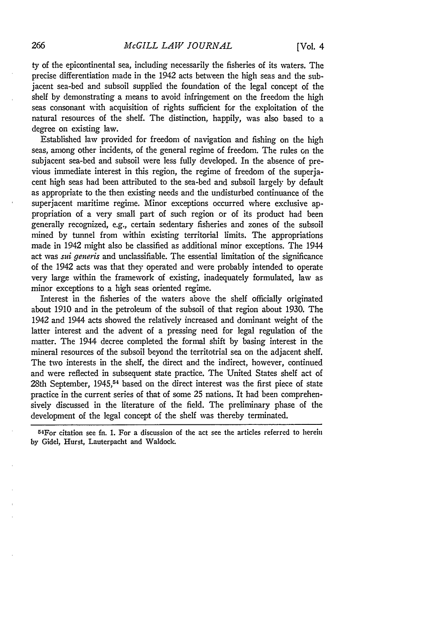ty of the epicontinental sea, including necessarily the fisheries of its waters. The precise differentiation made in the 1942 acts between the high seas and the subjacent sea-bed and subsoil supplied the foundation of the legal concept of the shelf by demonstrating a means to avoid infringement on the freedom the high seas consonant with acquisition of rights sufficient for the exploitation of the natural resources of the shelf. The distinction, happily, was also based to a degree on existing law.

Established law provided for freedom of navigation and fishing on the high seas, among other incidents, of the general regime of freedom. The rules on the subjacent sea-bed and subsoil were less fully developed. In the absence of previous immediate interest in this region, the regime of freedom of the superjacent high seas had been attributed to the sea-bed and subsoil largely by default as appropriate to the then existing needs and the undisturbed continuance of the superjacent maritime regime. Minor exceptions occurred where exclusive appropriation of a very small part of such region or of its product had been generally recognized, e.g., certain sedentary fisheries and zones of the subsoil mined by tunnel from within existing territorial limits. The appropriations made in 1942 might also be classified as additional minor exceptions. The 1944 act was *sui generis* and unclassifiable. The essential limitation of the significance of the 1942 acts was that they operated and were probably intended to operate very large within the framework of existing, inadequately formulated, law as minor exceptions to a high seas oriented regime.

Interest in the fisheries of the waters above the shelf officially originated about 1910 and in the petroleum of the subsoil of that region about 1930. The 1942 and 1944 acts showed the relatively increased and dominant weight of the latter interest and the advent of a pressing need for legal regulation of the matter. The 1944 decree completed the formal shift by basing interest in the mineral resources of the subsoil beyond the territotrial sea on the adjacent shelf. The two interests in the shelf, the direct and the indirect, however, continued and were reflected in subsequent state practice. The United States shelf act of 28th September, 1945,<sup>54</sup> based on the direct interest was the first piece of state practice in the current series of that of some 25 nations. It had been comprehensively discussed in the literature of the field. The preliminary phase of the development of the legal concept of the shelf was thereby terminated.

<sup>54</sup> For citation see fn. **1.** For a discussion of the act see the articles referred to herein by Gidel, Hurst, Lauterpacht and Waldock.